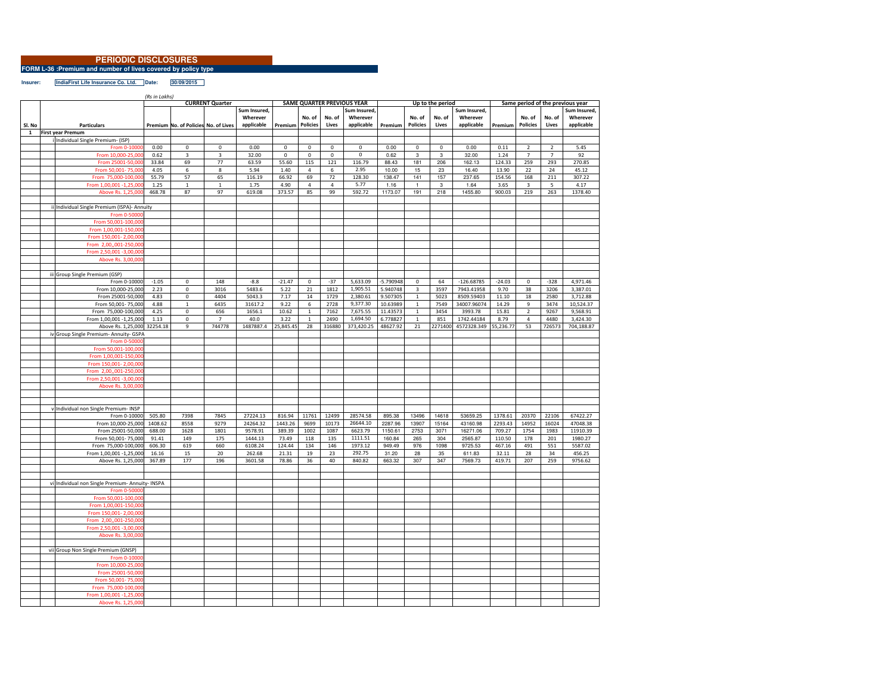## **PERIODIC DISCLOSURES**

**FORM L-36 :Premium and number of lives covered by policy type Insurer:**

**IndiaFirst Life Insurance Co. Ltd. Date: 30/09/2015**

*(Rs in Lakhs)***Premium No. of Policies No. of Lives Sum Insured, Wherever applicable PremiumNo. of PoliciesNo. of LivesSum Insured, Wherever applicable PremiumNo. of PoliciesNo. of LivesSum Insured, Wherever applicable PremiumNo. of PoliciesNo. of LivesSum Insured, Wherever applicable<sup>1</sup> First year Premum** <sup>i</sup> Individual Single Premium- (ISP) From 0-10000 0.00 <sup>0</sup> <sup>0</sup> 0.00 <sup>0</sup> <sup>0</sup> <sup>0</sup> <sup>0</sup> 0.00 <sup>0</sup> <sup>0</sup> 0.00 0.11 <sup>2</sup> <sup>2</sup> 5.45 From 10,000-25 0.62 <sup>3</sup> <sup>3</sup> 32.00 <sup>0</sup> <sup>0</sup> <sup>0</sup> <sup>0</sup> 0.62 <sup>3</sup> <sup>3</sup> 32.00 1.24 <sup>7</sup> <sup>7</sup> <sup>92</sup> From 25001-50.0 33.84 <sup>69</sup> <sup>77</sup> 63.59 55.60 <sup>115</sup> <sup>121</sup> 116.79 88.43 <sup>181</sup> <sup>206</sup> 162.13 124.33 <sup>259</sup> <sup>293</sup> 270.85 From 50,001 0 4.05 6 8 5.94 1.40 4 6 2.95 10.00 15 23 16.40 13.90 22 24 45.12 From 75,000-100 55.79 <sup>57</sup> <sup>65</sup> 116.19 66.92 <sup>69</sup> <sup>72</sup> 128.30 138.47 <sup>141</sup> <sup>157</sup> 237.65 154.56 <sup>168</sup> <sup>211</sup> 307.22 From 1,00,001 -1.25 0 1.25 1 1 1 1.75 4.90 4 4 5.77 1.16 1 3 1.64 3.65 3 5 4.17 Above Rs. 1,25.0 468.78 <sup>87</sup> <sup>97</sup> 619.08 373.57 <sup>85</sup> <sup>99</sup> 592.72 1173.07 <sup>191</sup> <sup>218</sup> 1455.80 900.03 <sup>219</sup> <sup>263</sup> 1378.40 Individual Single Premium (ISPA)- Annuity From 0-50000From 50,001-1 From 1,00,001-150.0 From 150,001- 2,00,0 From 2,00,,001-2 From 2,50,001 -3,00.0 Above Rs. 3,00,0 iii Group Single Premium (GSP)<br>From 0-10000 From 0-10000 -1.05 <sup>0</sup> <sup>148</sup> -8.8 -21.47 <sup>0</sup> -37 5,633.09 -5.790948 <sup>0</sup> <sup>64</sup> -126.68785 -24.03 <sup>0</sup> -328 4,971.46 From 10,000-25,000 2.23 0 3016 5483.6 5.22<br>From 25001-50,000 4.83 0 4404 5043.3 7.17 1,905.51 5.940748 <sup>3</sup> <sup>3597</sup> 7943.41958 9.70 <sup>38</sup> <sup>3206</sup> 3,387.01 From 25001-50,000 4.83 <sup>0</sup> <sup>4404</sup> 5043.3 7.17 <sup>14</sup> <sup>1729</sup> 2,380.61 9.507305 <sup>1</sup> <sup>5023</sup> 8509.59403 11.10 <sup>18</sup> <sup>2580</sup> 3,712.88 From 50,001- 75,000 4.88 1 6435 31617.2 9.22 6 2728<br>From 75,000-100,000 4.25 0 656 1656.1 10.62 1 7162 9,377.30 10.63989 <sup>1</sup> <sup>7549</sup> 34007.96074 14.29 <sup>9</sup> <sup>3474</sup> 10,524.37 From 75,000-100,000 4.25 0 656 1656.1 10.62<br>
200 100 101 -1.25 000 1.13 0 7 40 0 3.22 7,675.55 11.43573 <sup>1</sup> <sup>3454</sup> 3993.78 15.81 <sup>2</sup> <sup>9267</sup> 9,568.91 From 1,00,001 -1,25,000 1.13 0 7 40.0 3.22 1 2490 1,694.50<br>Above Rs. 1,25,000 32254.18 9 744778 1487887.4 25,845.45 28 316880 373,420.25 1, 2490 1,694.50 6.778827 1 851 1742.44184 8.79 4 4480 3,424.30<br>28 316880 373,420.25 48627.92 21 2271400 4572328.349 55,236.77 53 726573 704,188.87 Above Rs. 1,25,000 32254.18 2271400 4572328.349 iv Group Single Premium- Annuity- GSPA $From 0-500$ From 50,001-100, From 1,00,001-150 From 150,001-2,0 From 2,00,,001-250  $From 2,50,001 -3,00$ Above Rs. 3,00,00 <sup>v</sup> Individual non Single Premium- INSPFrom 0-10000 505.80 From 0-10000 505.80 <sup>7398</sup> <sup>7845</sup> 27224.13 816.94 <sup>11761</sup> <sup>12499</sup> 28574.58 895.38 <sup>13496</sup> <sup>14618</sup> 53659.25 1378.61 <sup>20370</sup> <sup>22106</sup> 67422.27 From 10,000-25,000 1408.62 8558 9279 24264.32 1443.26 9699 10173 26644.10<br>From 25001-50,000 688.00 1628 1801 9578.91 389.39 1002 1087 6623.79 2287.96 13907 15164 43160.98 2293.43 14952 16024 47048.38<br>1150.61 2753 3071 16271.06 709.27 1754 1983 11910.39 From 25001-50,000 688.00 <sup>1628</sup> <sup>1801</sup> 9578.91 389.39 <sup>1002</sup> <sup>1087</sup> 6623.79 1150.61 <sup>2753</sup> <sup>3071</sup> 16271.06 709.27 <sup>1754</sup> <sup>1983</sup> 11910.39 From 50,001- 75,000 91.41 149 175 1444.13 73.49 118 135 1111.51 160 160 1610 175 160 1610 174.44 134 146 1973.12 1111.51 160.84 <sup>265</sup> <sup>304</sup> 2565.87 110.50 <sup>178</sup> <sup>201</sup> 1980.27 From 75,000-100,000 606.30 619 660 6108.24 124.44 134 146 1973.12<br>
From 1.00.001-1.25.000 16.16 15 20 262.68 21.31 19 23 292.75 1973.12 949.49 <sup>976</sup> <sup>1098</sup> 9725.53 467.16 <sup>491</sup> <sup>551</sup> 5587.02 From 1,00,001 -1,25,000 16.16 15 20 262.68 21.31 19 23<br>Above Rs. 1,25,000 367.89 177 196 3601.58 78.86 36 40 292.75 31.20 <sup>28</sup> <sup>35</sup> 611.83 32.11 <sup>28</sup> <sup>34</sup> 456.25 Above Rs. 1,25,000 840.82 663.32 <sup>307</sup> <sup>347</sup> 7569.73 419.71 <sup>207</sup> <sup>259</sup> 9756.62 vi Individual non Single Premium- Annuity- INSPA**From 0-5000** From 50,001-10 From 1,00,001-150. From 150,001-2,00 From 2,00,001-250 From  $2,50,001 - 3,00,00$ Above Rs. 3,00,0 vii Group Non Single Premium (GNSP) From 0-10000From 10,000-25, From 25001-50.00 From 50,001- 75,000From 75,000-100,0 From 1,00,001 -1,25 Above Rs. 1,25,00 **Same period of the previous yearSl. No Particulars CURRENT QuarterSAME QUARTER PREVIOUS YEAR Up to the period**

<u> Tanzania (</u>